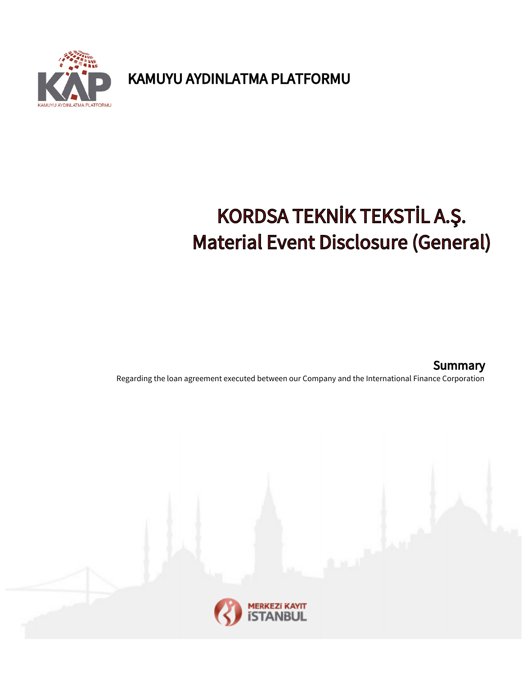U AYDINLATMA PLATFORMU

KAMUYU AYDINLATMA PLATFORMU

## KORDSA TEKNİK TEKSTİL A.Ş. Material Event Disclosure (General)

Regarding the loan agreement executed between our Company and the International Finance Corporation **Summary**